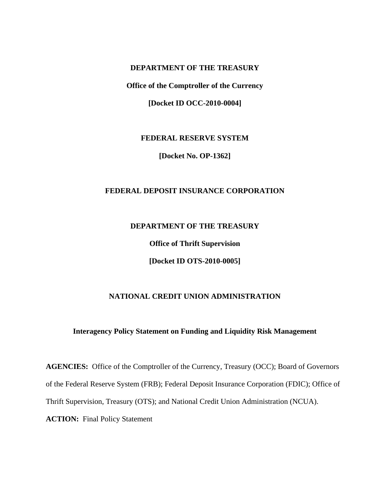## **DEPARTMENT OF THE TREASURY**

**Office of the Comptroller of the Currency** 

**[Docket ID OCC-2010-0004]** 

**FEDERAL RESERVE SYSTEM** 

**[Docket No. OP-1362]** 

## **FEDERAL DEPOSIT INSURANCE CORPORATION**

### **DEPARTMENT OF THE TREASURY**

**Office of Thrift Supervision** 

**[Docket ID OTS-2010-0005]** 

#### **NATIONAL CREDIT UNION ADMINISTRATION**

## **Interagency Policy Statement on Funding and Liquidity Risk Management**

**AGENCIES:** Office of the Comptroller of the Currency, Treasury (OCC); Board of Governors of the Federal Reserve System (FRB); Federal Deposit Insurance Corporation (FDIC); Office of Thrift Supervision, Treasury (OTS); and National Credit Union Administration (NCUA). **ACTION:** Final Policy Statement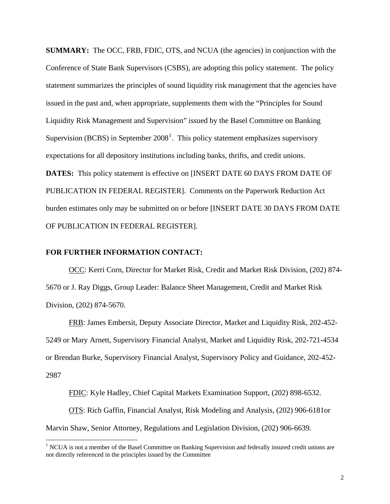**SUMMARY:** The OCC, FRB, FDIC, OTS, and NCUA (the agencies) in conjunction with the Conference of State Bank Supervisors (CSBS), are adopting this policy statement. The policy statement summarizes the principles of sound liquidity risk management that the agencies have issued in the past and, when appropriate, supplements them with the "Principles for Sound Liquidity Risk Management and Supervision" issued by the Basel Committee on Banking Supervision (BCBS) in September  $2008<sup>1</sup>$  $2008<sup>1</sup>$  $2008<sup>1</sup>$ . This policy statement emphasizes supervisory expectations for all depository institutions including banks, thrifts, and credit unions. **DATES:** This policy statement is effective on [INSERT DATE 60 DAYS FROM DATE OF PUBLICATION IN FEDERAL REGISTER]. Comments on the Paperwork Reduction Act burden estimates only may be submitted on or before [INSERT DATE 30 DAYS FROM DATE OF PUBLICATION IN FEDERAL REGISTER].

#### **FOR FURTHER INFORMATION CONTACT:**

 $\overline{a}$ 

OCC: Kerri Corn, Director for Market Risk, Credit and Market Risk Division, (202) 874- 5670 or J. Ray Diggs, Group Leader: Balance Sheet Management, Credit and Market Risk Division, (202) 874-5670.

FRB: James Embersit, Deputy Associate Director, Market and Liquidity Risk, 202-452- 5249 or Mary Arnett, Supervisory Financial Analyst, Market and Liquidity Risk, 202-721-4534 or Brendan Burke, Supervisory Financial Analyst, Supervisory Policy and Guidance, 202-452- 2987

FDIC: Kyle Hadley, Chief Capital Markets Examination Support, (202) 898-6532. OTS: Rich Gaffin, Financial Analyst, Risk Modeling and Analysis, (202) 906-6181or Marvin Shaw, Senior Attorney, Regulations and Legislation Division, (202) 906-6639.

<span id="page-1-0"></span><sup>&</sup>lt;sup>1</sup> NCUA is not a member of the Basel Committee on Banking Supervision and federally insured credit unions are not directly referenced in the principles issued by the Committee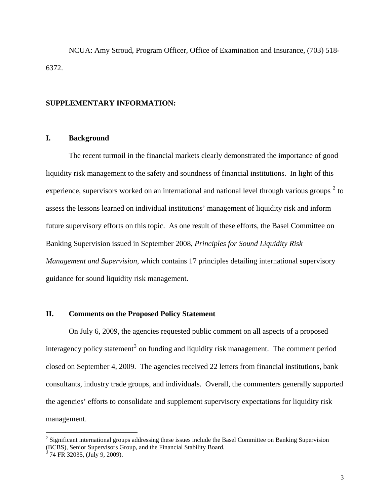NCUA: Amy Stroud, Program Officer, Office of Examination and Insurance, (703) 518- 6372.

#### **SUPPLEMENTARY INFORMATION:**

### **I. Background**

The recent turmoil in the financial markets clearly demonstrated the importance of good liquidity risk management to the safety and soundness of financial institutions. In light of this experience, supervisors worked on an international and national level through various groups  $2$  to assess the lessons learned on individual institutions' management of liquidity risk and inform future supervisory efforts on this topic. As one result of these efforts, the Basel Committee on Banking Supervision issued in September 2008, *Principles for Sound Liquidity Risk Management and Supervision*, which contains 17 principles detailing international supervisory guidance for sound liquidity risk management.

## **II. Comments on the Proposed Policy Statement**

 On July 6, 2009, the agencies requested public comment on all aspects of a proposed interagency policy statement<sup>[3](#page-2-1)</sup> on funding and liquidity risk management. The comment period closed on September 4, 2009. The agencies received 22 letters from financial institutions, bank consultants, industry trade groups, and individuals. Overall, the commenters generally supported the agencies' efforts to consolidate and supplement supervisory expectations for liquidity risk management.

 $\overline{a}$ 

<span id="page-2-0"></span><sup>&</sup>lt;sup>2</sup> Significant international groups addressing these issues include the Basel Committee on Banking Supervision (BCBS), Senior Supervisors Group, and the Financial Stability Board.

<span id="page-2-1"></span> $3$  74 FR 32035, (July 9, 2009).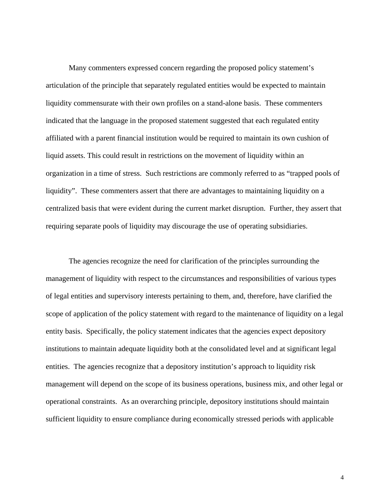Many commenters expressed concern regarding the proposed policy statement's articulation of the principle that separately regulated entities would be expected to maintain liquidity commensurate with their own profiles on a stand-alone basis. These commenters indicated that the language in the proposed statement suggested that each regulated entity affiliated with a parent financial institution would be required to maintain its own cushion of liquid assets. This could result in restrictions on the movement of liquidity within an organization in a time of stress. Such restrictions are commonly referred to as "trapped pools of liquidity". These commenters assert that there are advantages to maintaining liquidity on a centralized basis that were evident during the current market disruption. Further, they assert that requiring separate pools of liquidity may discourage the use of operating subsidiaries.

 The agencies recognize the need for clarification of the principles surrounding the management of liquidity with respect to the circumstances and responsibilities of various types of legal entities and supervisory interests pertaining to them, and, therefore, have clarified the scope of application of the policy statement with regard to the maintenance of liquidity on a legal entity basis. Specifically, the policy statement indicates that the agencies expect depository institutions to maintain adequate liquidity both at the consolidated level and at significant legal entities. The agencies recognize that a depository institution's approach to liquidity risk management will depend on the scope of its business operations, business mix, and other legal or operational constraints. As an overarching principle, depository institutions should maintain sufficient liquidity to ensure compliance during economically stressed periods with applicable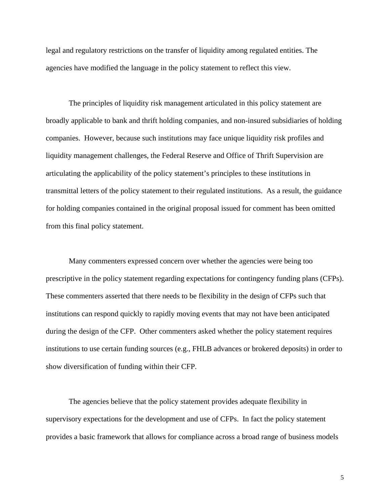legal and regulatory restrictions on the transfer of liquidity among regulated entities. The agencies have modified the language in the policy statement to reflect this view.

 The principles of liquidity risk management articulated in this policy statement are broadly applicable to bank and thrift holding companies, and non-insured subsidiaries of holding companies. However, because such institutions may face unique liquidity risk profiles and liquidity management challenges, the Federal Reserve and Office of Thrift Supervision are articulating the applicability of the policy statement's principles to these institutions in transmittal letters of the policy statement to their regulated institutions. As a result, the guidance for holding companies contained in the original proposal issued for comment has been omitted from this final policy statement.

 Many commenters expressed concern over whether the agencies were being too prescriptive in the policy statement regarding expectations for contingency funding plans (CFPs). These commenters asserted that there needs to be flexibility in the design of CFPs such that institutions can respond quickly to rapidly moving events that may not have been anticipated during the design of the CFP. Other commenters asked whether the policy statement requires institutions to use certain funding sources (e.g., FHLB advances or brokered deposits) in order to show diversification of funding within their CFP.

 The agencies believe that the policy statement provides adequate flexibility in supervisory expectations for the development and use of CFPs. In fact the policy statement provides a basic framework that allows for compliance across a broad range of business models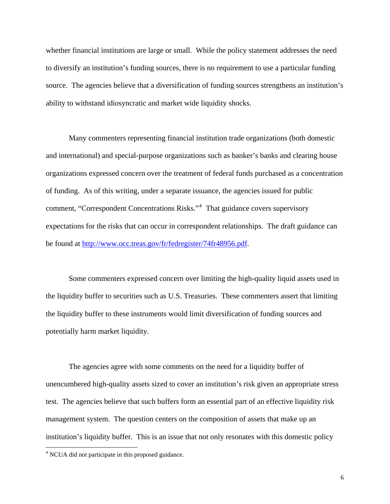whether financial institutions are large or small. While the policy statement addresses the need to diversify an institution's funding sources, there is no requirement to use a particular funding source. The agencies believe that a diversification of funding sources strengthens an institution's ability to withstand idiosyncratic and market wide liquidity shocks.

 Many commenters representing financial institution trade organizations (both domestic and international) and special-purpose organizations such as banker's banks and clearing house organizations expressed concern over the treatment of federal funds purchased as a concentration of funding. As of this writing, under a separate issuance, the agencies issued for public comment, "Correspondent Concentrations Risks."<sup>[4](#page-5-0)</sup> That guidance covers supervisory expectations for the risks that can occur in correspondent relationships. The draft guidance can be found at <http://www.occ.treas.gov/fr/fedregister/74fr48956.pdf>.

 Some commenters expressed concern over limiting the high-quality liquid assets used in the liquidity buffer to securities such as U.S. Treasuries. These commenters assert that limiting the liquidity buffer to these instruments would limit diversification of funding sources and potentially harm market liquidity.

 The agencies agree with some comments on the need for a liquidity buffer of unencumbered high-quality assets sized to cover an institution's risk given an appropriate stress test. The agencies believe that such buffers form an essential part of an effective liquidity risk management system. The question centers on the composition of assets that make up an institution's liquidity buffer. This is an issue that not only resonates with this domestic policy

 $\overline{a}$ 

<span id="page-5-0"></span><sup>&</sup>lt;sup>4</sup> NCUA did not participate in this proposed guidance.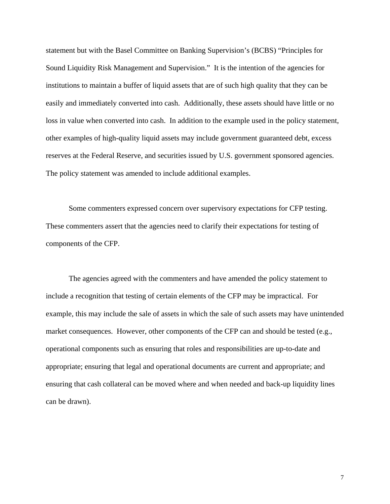statement but with the Basel Committee on Banking Supervision's (BCBS) "Principles for Sound Liquidity Risk Management and Supervision." It is the intention of the agencies for institutions to maintain a buffer of liquid assets that are of such high quality that they can be easily and immediately converted into cash. Additionally, these assets should have little or no loss in value when converted into cash. In addition to the example used in the policy statement, other examples of high-quality liquid assets may include government guaranteed debt, excess reserves at the Federal Reserve, and securities issued by U.S. government sponsored agencies. The policy statement was amended to include additional examples.

 Some commenters expressed concern over supervisory expectations for CFP testing. These commenters assert that the agencies need to clarify their expectations for testing of components of the CFP.

 The agencies agreed with the commenters and have amended the policy statement to include a recognition that testing of certain elements of the CFP may be impractical. For example, this may include the sale of assets in which the sale of such assets may have unintended market consequences. However, other components of the CFP can and should be tested (e.g., operational components such as ensuring that roles and responsibilities are up-to-date and appropriate; ensuring that legal and operational documents are current and appropriate; and ensuring that cash collateral can be moved where and when needed and back-up liquidity lines can be drawn).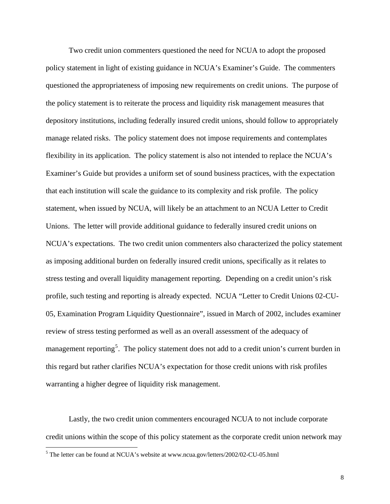Two credit union commenters questioned the need for NCUA to adopt the proposed policy statement in light of existing guidance in NCUA's Examiner's Guide. The commenters questioned the appropriateness of imposing new requirements on credit unions. The purpose of the policy statement is to reiterate the process and liquidity risk management measures that depository institutions, including federally insured credit unions, should follow to appropriately manage related risks. The policy statement does not impose requirements and contemplates flexibility in its application. The policy statement is also not intended to replace the NCUA's Examiner's Guide but provides a uniform set of sound business practices, with the expectation that each institution will scale the guidance to its complexity and risk profile. The policy statement, when issued by NCUA, will likely be an attachment to an NCUA Letter to Credit Unions. The letter will provide additional guidance to federally insured credit unions on NCUA's expectations. The two credit union commenters also characterized the policy statement as imposing additional burden on federally insured credit unions, specifically as it relates to stress testing and overall liquidity management reporting. Depending on a credit union's risk profile, such testing and reporting is already expected. NCUA "Letter to Credit Unions 02-CU-05, Examination Program Liquidity Questionnaire", issued in March of 2002, includes examiner review of stress testing performed as well as an overall assessment of the adequacy of management reporting<sup>[5](#page-7-0)</sup>. The policy statement does not add to a credit union's current burden in this regard but rather clarifies NCUA's expectation for those credit unions with risk profiles warranting a higher degree of liquidity risk management.

 Lastly, the two credit union commenters encouraged NCUA to not include corporate credit unions within the scope of this policy statement as the corporate credit union network may

 $\overline{a}$ 

<span id="page-7-0"></span> $<sup>5</sup>$  The letter can be found at NCUA's website at www.ncua.gov/letters/2002/02-CU-05.html</sup>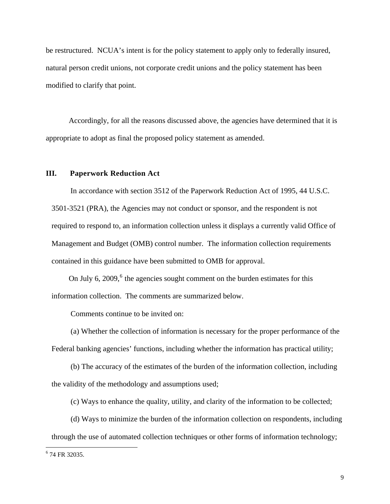be restructured. NCUA's intent is for the policy statement to apply only to federally insured, natural person credit unions, not corporate credit unions and the policy statement has been modified to clarify that point.

 Accordingly, for all the reasons discussed above, the agencies have determined that it is appropriate to adopt as final the proposed policy statement as amended.

## **III. Paperwork Reduction Act**

 In accordance with section 3512 of the Paperwork Reduction Act of 1995, 44 U.S.C. 3501-3521 (PRA), the Agencies may not conduct or sponsor, and the respondent is not required to respond to, an information collection unless it displays a currently valid Office of Management and Budget (OMB) control number. The information collection requirements contained in this guidance have been submitted to OMB for approval.

On July [6](#page-8-0), 2009, $6$  the agencies sought comment on the burden estimates for this information collection. The comments are summarized below.

Comments continue to be invited on:

 (a) Whether the collection of information is necessary for the proper performance of the Federal banking agencies' functions, including whether the information has practical utility;

 (b) The accuracy of the estimates of the burden of the information collection, including the validity of the methodology and assumptions used;

(c) Ways to enhance the quality, utility, and clarity of the information to be collected;

 (d) Ways to minimize the burden of the information collection on respondents, including through the use of automated collection techniques or other forms of information technology;

 $\overline{a}$ 

<span id="page-8-0"></span><sup>6</sup> 74 FR 32035.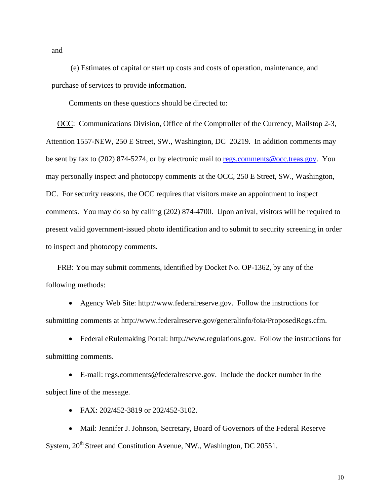and

 (e) Estimates of capital or start up costs and costs of operation, maintenance, and purchase of services to provide information.

Comments on these questions should be directed to:

OCC: Communications Division, Office of the Comptroller of the Currency, Mailstop 2-3, Attention 1557-NEW, 250 E Street, SW., Washington, DC 20219. In addition comments may be sent by fax to (202) 874-5274, or by electronic mail to [regs.comments@occ.treas.gov.](mailto:regs.comments@occ.treas.gov) You may personally inspect and photocopy comments at the OCC, 250 E Street, SW., Washington, DC. For security reasons, the OCC requires that visitors make an appointment to inspect comments. You may do so by calling (202) 874-4700. Upon arrival, visitors will be required to present valid government-issued photo identification and to submit to security screening in order to inspect and photocopy comments.

FRB: You may submit comments, identified by Docket No. OP-1362, by any of the following methods:

• Agency Web Site: http://www.federalreserve.gov. Follow the instructions for submitting comments at http://www.federalreserve.gov/generalinfo/foia/ProposedRegs.cfm.

• Federal eRulemaking Portal: http://www.regulations.gov. Follow the instructions for submitting comments.

• E-mail: regs.comments@federalreserve.gov. Include the docket number in the subject line of the message.

• FAX: 202/452-3819 or 202/452-3102.

• Mail: Jennifer J. Johnson, Secretary, Board of Governors of the Federal Reserve System, 20<sup>th</sup> Street and Constitution Avenue, NW., Washington, DC 20551.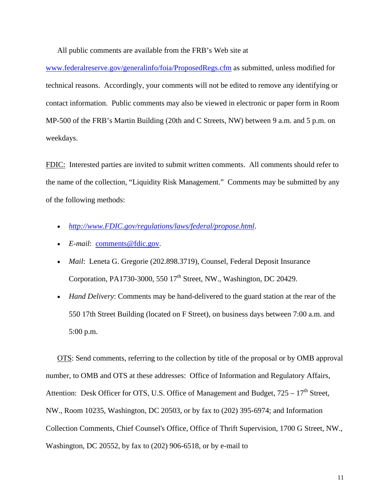All public comments are available from the FRB's Web site at

www.federalreserve.gov/generalinfo/foia/ProposedRegs.cfm as submitted, unless modified for technical reasons. Accordingly, your comments will not be edited to remove any identifying or contact information. Public comments may also be viewed in electronic or paper form in Room MP-500 of the FRB's Martin Building (20th and C Streets, NW) between 9 a.m. and 5 p.m. on weekdays.

FDIC: Interested parties are invited to submit written comments. All comments should refer to the name of the collection, "Liquidity Risk Management." Comments may be submitted by any of the following methods:

- *[http://www.FDIC.gov/regulations/laws/federal/propose.html](http://www.fdic.gov/regulations/laws/federal/propose.html)*.
- *E-mail*: [comments@fdic.gov](mailto:comments@fdic.gov).
- *Mail*: Leneta G. Gregorie (202.898.3719), Counsel, Federal Deposit Insurance Corporation, PA1730-3000, 550 17<sup>th</sup> Street, NW., Washington, DC 20429.
- *Hand Delivery*: Comments may be hand-delivered to the guard station at the rear of the 550 17th Street Building (located on F Street), on business days between 7:00 a.m. and 5:00 p.m.

 OTS: Send comments, referring to the collection by title of the proposal or by OMB approval number, to OMB and OTS at these addresses: Office of Information and Regulatory Affairs, Attention: Desk Officer for OTS, U.S. Office of Management and Budget,  $725 - 17<sup>th</sup>$  Street, NW., Room 10235, Washington, DC 20503, or by fax to (202) 395-6974; and Information Collection Comments, Chief Counsel's Office, Office of Thrift Supervision, 1700 G Street, NW., Washington, DC 20552, by fax to (202) 906-6518, or by e-mail to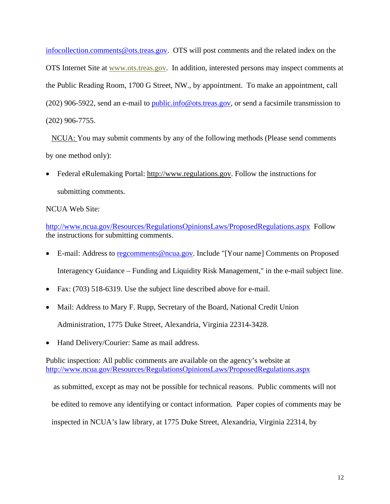[infocollection.comments@ots.treas.gov.](mailto:infocollection.comments@ots.treas.gov) OTS will post comments and the related index on the OTS Internet Site at [www.ots.treas.gov.](http://www.ots.treas.gov/) In addition, interested persons may inspect comments at the Public Reading Room, 1700 G Street, NW., by appointment. To make an appointment, call (202) 906-5922, send an e-mail to [public.info@ots.treas.gov](mailto:public.info@ots.treas.gov), or send a facsimile transmission to (202) 906-7755.

 NCUA: You may submit comments by any of the following methods (Please send comments by one method only):

• Federal eRulemaking Portal: http://www.regulations.gov. Follow the instructions for submitting comments.

NCUA Web Site:

<http://www.ncua.gov/Resources/RegulationsOpinionsLaws/ProposedRegulations.aspx>Follow the instructions for submitting comments.

- E-mail: Address to [regcomments@ncua.gov](mailto:regcomments@ncua.gov). Include "[Your name] Comments on Proposed Interagency Guidance – Funding and Liquidity Risk Management," in the e-mail subject line.
- Fax: (703) 518-6319. Use the subject line described above for e-mail.
- Mail: Address to Mary F. Rupp, Secretary of the Board, National Credit Union

Administration, 1775 Duke Street, Alexandria, Virginia 22314-3428.

• Hand Delivery/Courier: Same as mail address.

Public inspection: All public comments are available on the agency's website at <http://www.ncua.gov/Resources/RegulationsOpinionsLaws/ProposedRegulations.aspx>

 as submitted, except as may not be possible for technical reasons. Public comments will not be edited to remove any identifying or contact information. Paper copies of comments may be inspected in NCUA's law library, at 1775 Duke Street, Alexandria, Virginia 22314, by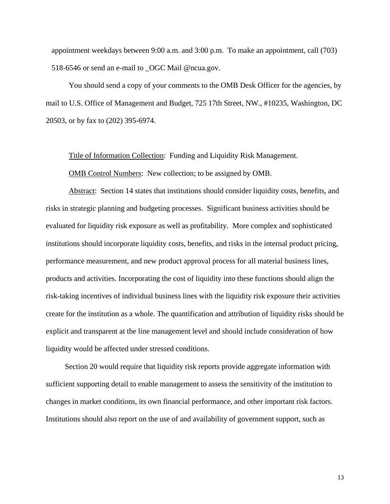appointment weekdays between 9:00 a.m. and 3:00 p.m. To make an appointment, call (703) 518-6546 or send an e-mail to \_OGC Mail @ncua.gov.

 You should send a copy of your comments to the OMB Desk Officer for the agencies, by mail to U.S. Office of Management and Budget, 725 17th Street, NW., #10235, Washington, DC 20503, or by fax to (202) 395-6974.

Title of Information Collection:Funding and Liquidity Risk Management.

OMB Control Numbers: New collection; to be assigned by OMB.

 Abstract:Section 14 states that institutions should consider liquidity costs, benefits, and risks in strategic planning and budgeting processes. Significant business activities should be evaluated for liquidity risk exposure as well as profitability. More complex and sophisticated institutions should incorporate liquidity costs, benefits, and risks in the internal product pricing, performance measurement, and new product approval process for all material business lines, products and activities. Incorporating the cost of liquidity into these functions should align the risk-taking incentives of individual business lines with the liquidity risk exposure their activities create for the institution as a whole. The quantification and attribution of liquidity risks should be explicit and transparent at the line management level and should include consideration of how liquidity would be affected under stressed conditions.

 Section 20 would require that liquidity risk reports provide aggregate information with sufficient supporting detail to enable management to assess the sensitivity of the institution to changes in market conditions, its own financial performance, and other important risk factors. Institutions should also report on the use of and availability of government support, such as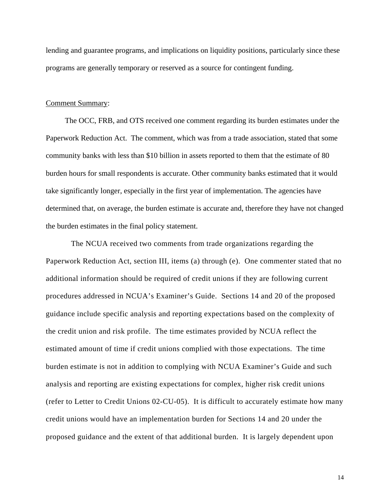lending and guarantee programs, and implications on liquidity positions, particularly since these programs are generally temporary or reserved as a source for contingent funding.

#### Comment Summary:

 The OCC, FRB, and OTS received one comment regarding its burden estimates under the Paperwork Reduction Act. The comment, which was from a trade association, stated that some community banks with less than \$10 billion in assets reported to them that the estimate of 80 burden hours for small respondents is accurate. Other community banks estimated that it would take significantly longer, especially in the first year of implementation. The agencies have determined that, on average, the burden estimate is accurate and, therefore they have not changed the burden estimates in the final policy statement.

 The NCUA received two comments from trade organizations regarding the Paperwork Reduction Act, section III, items (a) through (e). One commenter stated that no additional information should be required of credit unions if they are following current procedures addressed in NCUA's Examiner's Guide. Sections 14 and 20 of the proposed guidance include specific analysis and reporting expectations based on the complexity of the credit union and risk profile. The time estimates provided by NCUA reflect the estimated amount of time if credit unions complied with those expectations. The time burden estimate is not in addition to complying with NCUA Examiner's Guide and such analysis and reporting are existing expectations for complex, higher risk credit unions (refer to Letter to Credit Unions 02-CU-05). It is difficult to accurately estimate how many credit unions would have an implementation burden for Sections 14 and 20 under the proposed guidance and the extent of that additional burden. It is largely dependent upon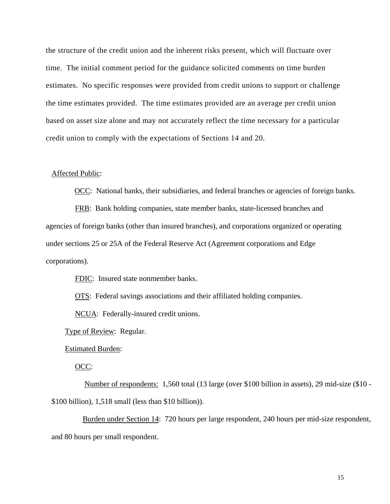the structure of the credit union and the inherent risks present, which will fluctuate over time. The initial comment period for the guidance solicited comments on time burden estimates. No specific responses were provided from credit unions to support or challenge the time estimates provided. The time estimates provided are an average per credit union based on asset size alone and may not accurately reflect the time necessary for a particular credit union to comply with the expectations of Sections 14 and 20.

#### Affected Public:

OCC: National banks, their subsidiaries, and federal branches or agencies of foreign banks.

**FRB:** Bank holding companies, state member banks, state-licensed branches and agencies of foreign banks (other than insured branches), and corporations organized or operating under sections 25 or 25A of the Federal Reserve Act (Agreement corporations and Edge corporations).

FDIC: Insured state nonmember banks.

OTS:Federal savings associations and their affiliated holding companies.

NCUA:Federally-insured credit unions.

**Type of Review: Regular.** 

Estimated Burden:

OCC:

Number of respondents:1,560 total (13 large (over \$100 billion in assets), 29 mid-size (\$10 - \$100 billion), 1,518 small (less than \$10 billion)).

Burden under Section 14: 720 hours per large respondent, 240 hours per mid-size respondent, and 80 hours per small respondent.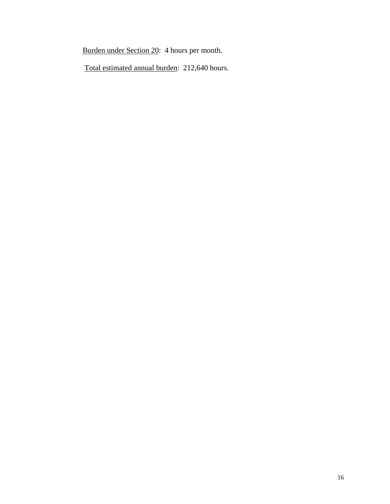Burden under Section 20: 4 hours per month.

Total estimated annual burden: 212,640 hours.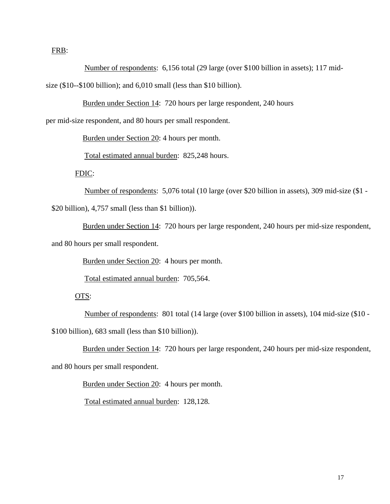FRB:

Number of respondents:6,156 total (29 large (over \$100 billion in assets); 117 midsize (\$10--\$100 billion); and 6,010 small (less than \$10 billion).

Burden under Section 14: 720 hours per large respondent, 240 hours

per mid-size respondent, and 80 hours per small respondent.

Burden under Section 20: 4 hours per month.

Total estimated annual burden: 825,248 hours.

FDIC:

Number of respondents:5,076 total (10 large (over \$20 billion in assets), 309 mid-size (\$1 -

\$20 billion), 4,757 small (less than \$1 billion)).

Burden under Section 14: 720 hours per large respondent, 240 hours per mid-size respondent,

and 80 hours per small respondent.

Burden under Section 20: 4 hours per month.

Total estimated annual burden: 705,564.

#### OTS:

Number of respondents:801 total (14 large (over \$100 billion in assets), 104 mid-size (\$10 -

\$100 billion), 683 small (less than \$10 billion)).

Burden under Section 14: 720 hours per large respondent, 240 hours per mid-size respondent, and 80 hours per small respondent.

Burden under Section 20: 4 hours per month.

Total estimated annual burden: 128,128*.*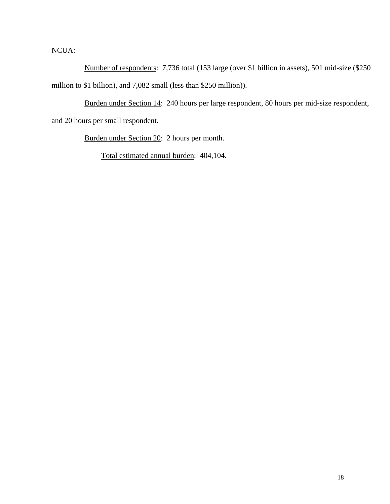# NCUA:

Number of respondents:7,736 total (153 large (over \$1 billion in assets), 501 mid-size (\$250 million to \$1 billion), and 7,082 small (less than \$250 million)).

 Burden under Section 14: 240 hours per large respondent, 80 hours per mid-size respondent, and 20 hours per small respondent.

Burden under Section 20: 2 hours per month.

Total estimated annual burden: 404,104.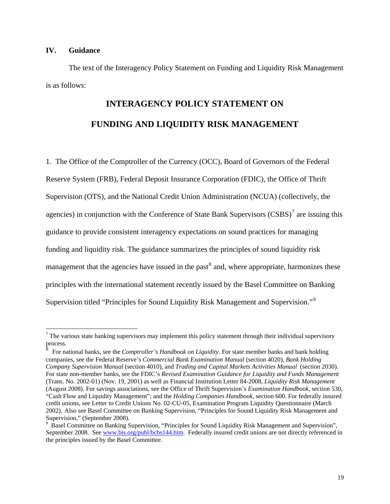### **IV. Guidance**

1

 The text of the Interagency Policy Statement on Funding and Liquidity Risk Management is as follows:

# **INTERAGENCY POLICY STATEMENT ON FUNDING AND LIQUIDITY RISK MANAGEMENT**

1. The Office of the Comptroller of the Currency (OCC), Board of Governors of the Federal Reserve System (FRB), Federal Deposit Insurance Corporation (FDIC), the Office of Thrift Supervision (OTS), and the National Credit Union Administration (NCUA) (collectively, the agencies) in conjunction with the Conference of State Bank Supervisors  $(CSBS)^7$  $(CSBS)^7$  are issuing this guidance to provide consistent interagency expectations on sound practices for managing funding and liquidity risk. The guidance summarizes the principles of sound liquidity risk management that the agencies have issued in the past<sup>[8](#page-18-1)</sup> and, where appropriate, harmonizes these principles with the international statement recently issued by the Basel Committee on Banking Supervision titled "Principles for Sound Liquidity Risk Management and Supervision."<sup>[9](#page-18-2)</sup>

<span id="page-18-0"></span> $<sup>7</sup>$  The various state banking supervisors may implement this policy statement through their individual supervisory</sup> process.<br><sup>8</sup>

<span id="page-18-1"></span>For national banks, see the *Comptroller's Handbook on Liquidity*. For state member banks and bank holding companies, see the Federal Reserve's *Commercial Bank Examination Manual* (section 4020), *Bank Holding Company Supervision Manual* (section 4010), and *Trading and Capital Markets Activities Manual* (section 2030). For state non-member banks, see the FDIC's *Revised Examination Guidance for Liquidity and Funds Management* (Trans. No. 2002-01) (Nov. 19, 2001) as well as Financial Institution Letter 84-2008, *Liquidity Risk Management* (August 2008). For savings associations, see the Office of Thrift Supervision's *Examination Handbook,* section 530, "Cash Flow and Liquidity Management"; and the *Holding Companies Handbook,* section 600. For federally insured credit unions, see Letter to Credit Unions No. 02-CU-05, Examination Program Liquidity Questionnaire (March 2002). Also see Basel Committee on Banking Supervision, "Principles for Sound Liquidity Risk Management and Supervision," (September 2008).

<span id="page-18-2"></span><sup>&</sup>lt;sup>9</sup> Basel Committee on Banking Supervision, "Principles for Sound Liquidity Risk Management and Supervision", September 2008. See [www.bis.org/publ/bcbs144.htm](http://www.bis.org/publ/bcbs144.htm). Federally insured credit unions are not directly referenced in the principles issued by the Basel Committee.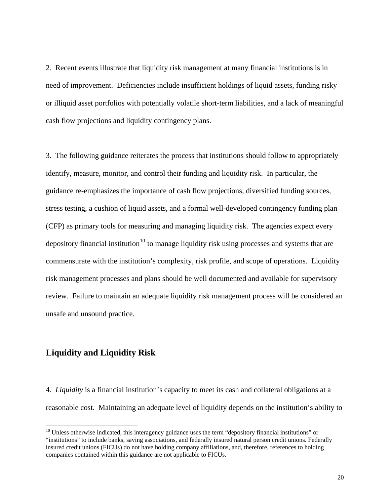2. Recent events illustrate that liquidity risk management at many financial institutions is in need of improvement. Deficiencies include insufficient holdings of liquid assets, funding risky or illiquid asset portfolios with potentially volatile short-term liabilities, and a lack of meaningful cash flow projections and liquidity contingency plans.

3. The following guidance reiterates the process that institutions should follow to appropriately identify, measure, monitor, and control their funding and liquidity risk. In particular, the guidance re-emphasizes the importance of cash flow projections, diversified funding sources, stress testing, a cushion of liquid assets, and a formal well-developed contingency funding plan (CFP) as primary tools for measuring and managing liquidity risk. The agencies expect every depository financial institution<sup>[10](#page-19-0)</sup> to manage liquidity risk using processes and systems that are commensurate with the institution's complexity, risk profile, and scope of operations. Liquidity risk management processes and plans should be well documented and available for supervisory review. Failure to maintain an adequate liquidity risk management process will be considered an unsafe and unsound practice.

## **Liquidity and Liquidity Risk**

 $\overline{a}$ 

4. *Liquidity* is a financial institution's capacity to meet its cash and collateral obligations at a reasonable cost. Maintaining an adequate level of liquidity depends on the institution's ability to

<span id="page-19-0"></span><sup>&</sup>lt;sup>10</sup> Unless otherwise indicated, this interagency guidance uses the term "depository financial institutions" or "institutions" to include banks, saving associations, and federally insured natural person credit unions. Federally insured credit unions (FICUs) do not have holding company affiliations, and, therefore, references to holding companies contained within this guidance are not applicable to FICUs.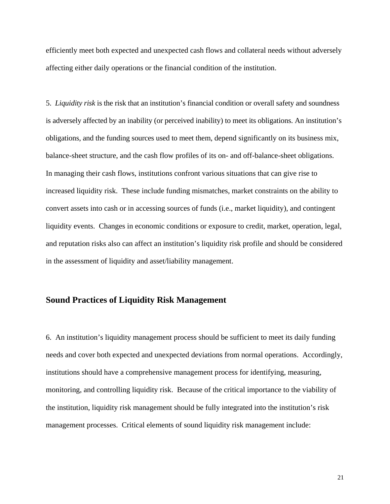efficiently meet both expected and unexpected cash flows and collateral needs without adversely affecting either daily operations or the financial condition of the institution.

5. *Liquidity risk* is the risk that an institution's financial condition or overall safety and soundness is adversely affected by an inability (or perceived inability) to meet its obligations. An institution's obligations, and the funding sources used to meet them, depend significantly on its business mix, balance-sheet structure, and the cash flow profiles of its on- and off-balance-sheet obligations. In managing their cash flows, institutions confront various situations that can give rise to increased liquidity risk. These include funding mismatches, market constraints on the ability to convert assets into cash or in accessing sources of funds (i.e., market liquidity), and contingent liquidity events. Changes in economic conditions or exposure to credit, market, operation, legal, and reputation risks also can affect an institution's liquidity risk profile and should be considered in the assessment of liquidity and asset/liability management.

## **Sound Practices of Liquidity Risk Management**

6. An institution's liquidity management process should be sufficient to meet its daily funding needs and cover both expected and unexpected deviations from normal operations. Accordingly, institutions should have a comprehensive management process for identifying, measuring, monitoring, and controlling liquidity risk. Because of the critical importance to the viability of the institution, liquidity risk management should be fully integrated into the institution's risk management processes. Critical elements of sound liquidity risk management include: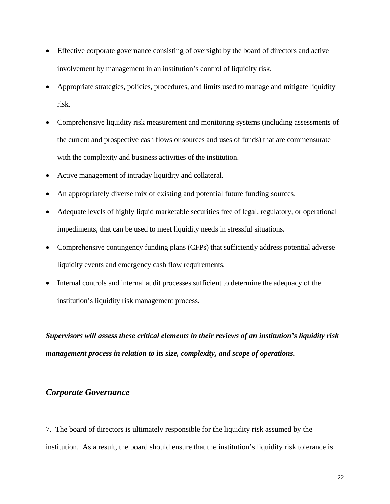- Effective corporate governance consisting of oversight by the board of directors and active involvement by management in an institution's control of liquidity risk.
- Appropriate strategies, policies, procedures, and limits used to manage and mitigate liquidity risk.
- Comprehensive liquidity risk measurement and monitoring systems (including assessments of the current and prospective cash flows or sources and uses of funds) that are commensurate with the complexity and business activities of the institution.
- Active management of intraday liquidity and collateral.
- An appropriately diverse mix of existing and potential future funding sources.
- Adequate levels of highly liquid marketable securities free of legal, regulatory, or operational impediments, that can be used to meet liquidity needs in stressful situations.
- Comprehensive contingency funding plans (CFPs) that sufficiently address potential adverse liquidity events and emergency cash flow requirements.
- Internal controls and internal audit processes sufficient to determine the adequacy of the institution's liquidity risk management process.

*Supervisors will assess these critical elements in their reviews of an institution's liquidity risk management process in relation to its size, complexity, and scope of operations.* 

# *Corporate Governance*

7. The board of directors is ultimately responsible for the liquidity risk assumed by the institution. As a result, the board should ensure that the institution's liquidity risk tolerance is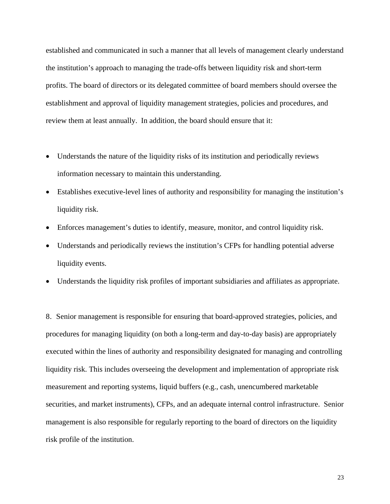established and communicated in such a manner that all levels of management clearly understand the institution's approach to managing the trade-offs between liquidity risk and short-term profits. The board of directors or its delegated committee of board members should oversee the establishment and approval of liquidity management strategies, policies and procedures, and review them at least annually. In addition, the board should ensure that it:

- Understands the nature of the liquidity risks of its institution and periodically reviews information necessary to maintain this understanding.
- Establishes executive-level lines of authority and responsibility for managing the institution's liquidity risk.
- Enforces management's duties to identify, measure, monitor, and control liquidity risk.
- Understands and periodically reviews the institution's CFPs for handling potential adverse liquidity events.
- Understands the liquidity risk profiles of important subsidiaries and affiliates as appropriate.

8. Senior management is responsible for ensuring that board-approved strategies, policies, and procedures for managing liquidity (on both a long-term and day-to-day basis) are appropriately executed within the lines of authority and responsibility designated for managing and controlling liquidity risk. This includes overseeing the development and implementation of appropriate risk measurement and reporting systems, liquid buffers (e.g., cash, unencumbered marketable securities, and market instruments), CFPs, and an adequate internal control infrastructure. Senior management is also responsible for regularly reporting to the board of directors on the liquidity risk profile of the institution.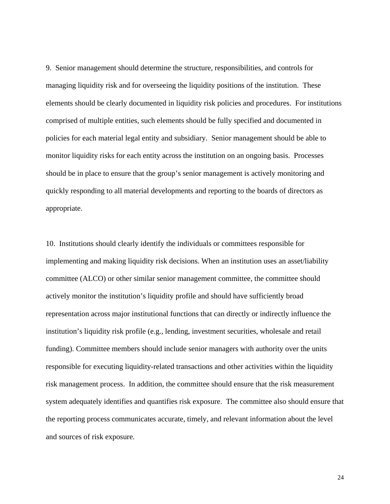9. Senior management should determine the structure, responsibilities, and controls for managing liquidity risk and for overseeing the liquidity positions of the institution. These elements should be clearly documented in liquidity risk policies and procedures. For institutions comprised of multiple entities, such elements should be fully specified and documented in policies for each material legal entity and subsidiary. Senior management should be able to monitor liquidity risks for each entity across the institution on an ongoing basis. Processes should be in place to ensure that the group's senior management is actively monitoring and quickly responding to all material developments and reporting to the boards of directors as appropriate.

10. Institutions should clearly identify the individuals or committees responsible for implementing and making liquidity risk decisions. When an institution uses an asset/liability committee (ALCO) or other similar senior management committee, the committee should actively monitor the institution's liquidity profile and should have sufficiently broad representation across major institutional functions that can directly or indirectly influence the institution's liquidity risk profile (e.g., lending, investment securities, wholesale and retail funding). Committee members should include senior managers with authority over the units responsible for executing liquidity-related transactions and other activities within the liquidity risk management process. In addition, the committee should ensure that the risk measurement system adequately identifies and quantifies risk exposure. The committee also should ensure that the reporting process communicates accurate, timely, and relevant information about the level and sources of risk exposure.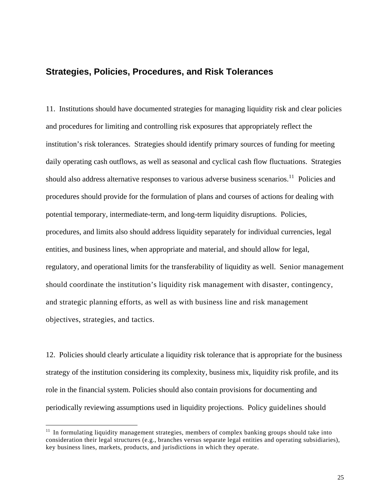# **Strategies, Policies, Procedures, and Risk Tolerances**

11. Institutions should have documented strategies for managing liquidity risk and clear policies and procedures for limiting and controlling risk exposures that appropriately reflect the institution's risk tolerances. Strategies should identify primary sources of funding for meeting daily operating cash outflows, as well as seasonal and cyclical cash flow fluctuations. Strategies should also address alternative responses to various adverse business scenarios.<sup>[11](#page-24-0)</sup> Policies and procedures should provide for the formulation of plans and courses of actions for dealing with potential temporary, intermediate-term, and long-term liquidity disruptions. Policies, procedures, and limits also should address liquidity separately for individual currencies, legal entities, and business lines, when appropriate and material, and should allow for legal, regulatory, and operational limits for the transferability of liquidity as well. Senior management should coordinate the institution's liquidity risk management with disaster, contingency, and strategic planning efforts, as well as with business line and risk management objectives, strategies, and tactics.

12. Policies should clearly articulate a liquidity risk tolerance that is appropriate for the business strategy of the institution considering its complexity, business mix, liquidity risk profile, and its role in the financial system. Policies should also contain provisions for documenting and periodically reviewing assumptions used in liquidity projections. Policy guidelines should

 $\overline{a}$ 

<span id="page-24-0"></span> $11$  In formulating liquidity management strategies, members of complex banking groups should take into consideration their legal structures (e.g., branches versus separate legal entities and operating subsidiaries), key business lines, markets, products, and jurisdictions in which they operate.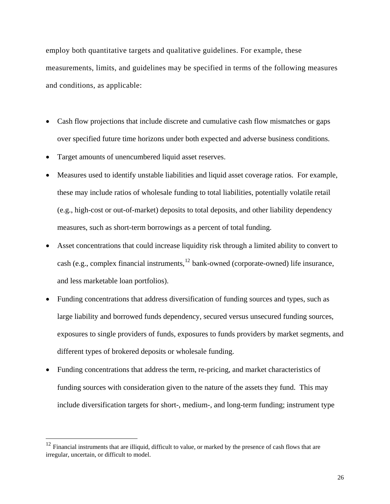employ both quantitative targets and qualitative guidelines. For example, these measurements, limits, and guidelines may be specified in terms of the following measures and conditions, as applicable:

- Cash flow projections that include discrete and cumulative cash flow mismatches or gaps over specified future time horizons under both expected and adverse business conditions.
- Target amounts of unencumbered liquid asset reserves.
- Measures used to identify unstable liabilities and liquid asset coverage ratios. For example, these may include ratios of wholesale funding to total liabilities, potentially volatile retail (e.g., high-cost or out-of-market) deposits to total deposits, and other liability dependency measures, such as short-term borrowings as a percent of total funding.
- Asset concentrations that could increase liquidity risk through a limited ability to convert to cash (e.g., complex financial instruments,  $^{12}$  $^{12}$  $^{12}$  bank-owned (corporate-owned) life insurance, and less marketable loan portfolios).
- Funding concentrations that address diversification of funding sources and types, such as large liability and borrowed funds dependency, secured versus unsecured funding sources, exposures to single providers of funds, exposures to funds providers by market segments, and different types of brokered deposits or wholesale funding.
- Funding concentrations that address the term, re-pricing, and market characteristics of funding sources with consideration given to the nature of the assets they fund. This may include diversification targets for short-, medium-, and long-term funding; instrument type

 $\overline{a}$ 

<span id="page-25-0"></span> $12$  Financial instruments that are illiquid, difficult to value, or marked by the presence of cash flows that are irregular, uncertain, or difficult to model.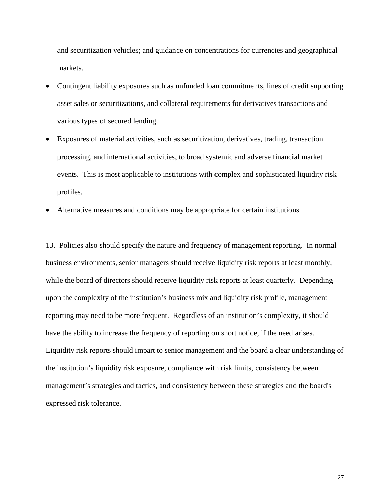and securitization vehicles; and guidance on concentrations for currencies and geographical markets.

- Contingent liability exposures such as unfunded loan commitments, lines of credit supporting asset sales or securitizations, and collateral requirements for derivatives transactions and various types of secured lending.
- Exposures of material activities, such as securitization, derivatives, trading, transaction processing, and international activities, to broad systemic and adverse financial market events. This is most applicable to institutions with complex and sophisticated liquidity risk profiles.
- Alternative measures and conditions may be appropriate for certain institutions.

13. Policies also should specify the nature and frequency of management reporting. In normal business environments, senior managers should receive liquidity risk reports at least monthly, while the board of directors should receive liquidity risk reports at least quarterly. Depending upon the complexity of the institution's business mix and liquidity risk profile, management reporting may need to be more frequent. Regardless of an institution's complexity, it should have the ability to increase the frequency of reporting on short notice, if the need arises. Liquidity risk reports should impart to senior management and the board a clear understanding of the institution's liquidity risk exposure, compliance with risk limits, consistency between management's strategies and tactics, and consistency between these strategies and the board's expressed risk tolerance.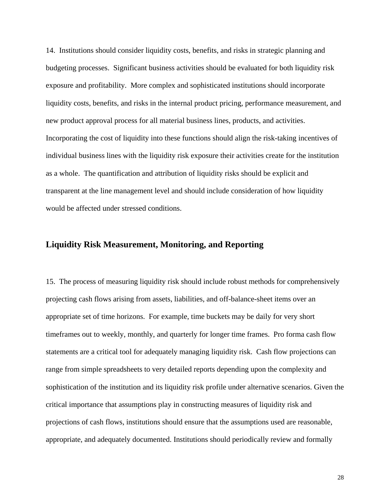14. Institutions should consider liquidity costs, benefits, and risks in strategic planning and budgeting processes. Significant business activities should be evaluated for both liquidity risk exposure and profitability. More complex and sophisticated institutions should incorporate liquidity costs, benefits, and risks in the internal product pricing, performance measurement, and new product approval process for all material business lines, products, and activities. Incorporating the cost of liquidity into these functions should align the risk-taking incentives of individual business lines with the liquidity risk exposure their activities create for the institution as a whole. The quantification and attribution of liquidity risks should be explicit and transparent at the line management level and should include consideration of how liquidity would be affected under stressed conditions.

# **Liquidity Risk Measurement, Monitoring, and Reporting**

15. The process of measuring liquidity risk should include robust methods for comprehensively projecting cash flows arising from assets, liabilities, and off-balance-sheet items over an appropriate set of time horizons. For example, time buckets may be daily for very short timeframes out to weekly, monthly, and quarterly for longer time frames. Pro forma cash flow statements are a critical tool for adequately managing liquidity risk. Cash flow projections can range from simple spreadsheets to very detailed reports depending upon the complexity and sophistication of the institution and its liquidity risk profile under alternative scenarios. Given the critical importance that assumptions play in constructing measures of liquidity risk and projections of cash flows, institutions should ensure that the assumptions used are reasonable, appropriate, and adequately documented. Institutions should periodically review and formally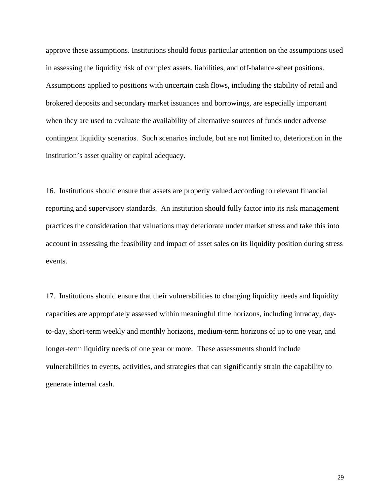approve these assumptions. Institutions should focus particular attention on the assumptions used in assessing the liquidity risk of complex assets, liabilities, and off-balance-sheet positions. Assumptions applied to positions with uncertain cash flows, including the stability of retail and brokered deposits and secondary market issuances and borrowings, are especially important when they are used to evaluate the availability of alternative sources of funds under adverse contingent liquidity scenarios. Such scenarios include, but are not limited to, deterioration in the institution's asset quality or capital adequacy.

16. Institutions should ensure that assets are properly valued according to relevant financial reporting and supervisory standards. An institution should fully factor into its risk management practices the consideration that valuations may deteriorate under market stress and take this into account in assessing the feasibility and impact of asset sales on its liquidity position during stress events.

17. Institutions should ensure that their vulnerabilities to changing liquidity needs and liquidity capacities are appropriately assessed within meaningful time horizons, including intraday, dayto-day, short-term weekly and monthly horizons, medium-term horizons of up to one year, and longer-term liquidity needs of one year or more. These assessments should include vulnerabilities to events, activities, and strategies that can significantly strain the capability to generate internal cash.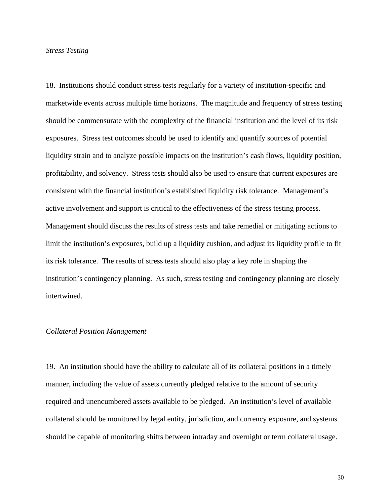#### *Stress Testing*

18. Institutions should conduct stress tests regularly for a variety of institution-specific and marketwide events across multiple time horizons. The magnitude and frequency of stress testing should be commensurate with the complexity of the financial institution and the level of its risk exposures. Stress test outcomes should be used to identify and quantify sources of potential liquidity strain and to analyze possible impacts on the institution's cash flows, liquidity position, profitability, and solvency. Stress tests should also be used to ensure that current exposures are consistent with the financial institution's established liquidity risk tolerance. Management's active involvement and support is critical to the effectiveness of the stress testing process. Management should discuss the results of stress tests and take remedial or mitigating actions to limit the institution's exposures, build up a liquidity cushion, and adjust its liquidity profile to fit its risk tolerance. The results of stress tests should also play a key role in shaping the institution's contingency planning. As such, stress testing and contingency planning are closely intertwined.

#### *Collateral Position Management*

19. An institution should have the ability to calculate all of its collateral positions in a timely manner, including the value of assets currently pledged relative to the amount of security required and unencumbered assets available to be pledged. An institution's level of available collateral should be monitored by legal entity, jurisdiction, and currency exposure, and systems should be capable of monitoring shifts between intraday and overnight or term collateral usage.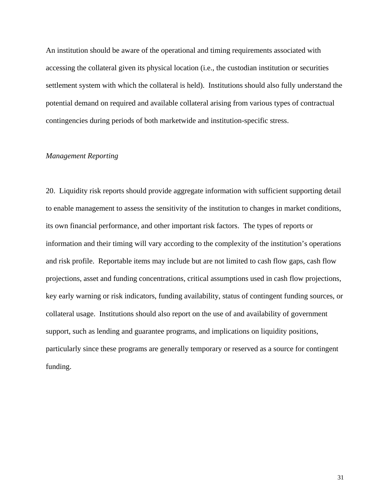An institution should be aware of the operational and timing requirements associated with accessing the collateral given its physical location (i.e., the custodian institution or securities settlement system with which the collateral is held). Institutions should also fully understand the potential demand on required and available collateral arising from various types of contractual contingencies during periods of both marketwide and institution-specific stress.

#### *Management Reporting*

20. Liquidity risk reports should provide aggregate information with sufficient supporting detail to enable management to assess the sensitivity of the institution to changes in market conditions, its own financial performance, and other important risk factors. The types of reports or information and their timing will vary according to the complexity of the institution's operations and risk profile. Reportable items may include but are not limited to cash flow gaps, cash flow projections, asset and funding concentrations, critical assumptions used in cash flow projections, key early warning or risk indicators, funding availability, status of contingent funding sources, or collateral usage. Institutions should also report on the use of and availability of government support, such as lending and guarantee programs, and implications on liquidity positions, particularly since these programs are generally temporary or reserved as a source for contingent funding.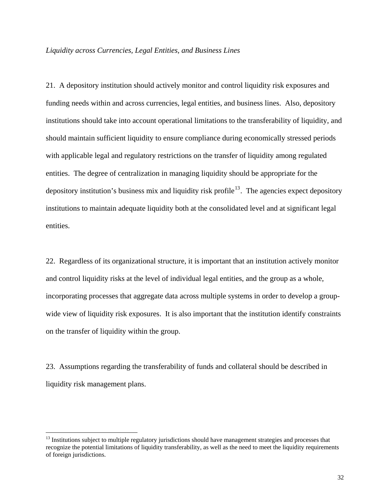#### *Liquidity across Currencies, Legal Entities, and Business Lines*

21. A depository institution should actively monitor and control liquidity risk exposures and funding needs within and across currencies, legal entities, and business lines. Also, depository institutions should take into account operational limitations to the transferability of liquidity, and should maintain sufficient liquidity to ensure compliance during economically stressed periods with applicable legal and regulatory restrictions on the transfer of liquidity among regulated entities. The degree of centralization in managing liquidity should be appropriate for the depository institution's business mix and liquidity risk profile<sup>[13](#page-31-0)</sup>. The agencies expect depository institutions to maintain adequate liquidity both at the consolidated level and at significant legal entities.

22. Regardless of its organizational structure, it is important that an institution actively monitor and control liquidity risks at the level of individual legal entities, and the group as a whole, incorporating processes that aggregate data across multiple systems in order to develop a groupwide view of liquidity risk exposures. It is also important that the institution identify constraints on the transfer of liquidity within the group.

23. Assumptions regarding the transferability of funds and collateral should be described in liquidity risk management plans.

 $\overline{a}$ 

<span id="page-31-0"></span> $13$  Institutions subject to multiple regulatory jurisdictions should have management strategies and processes that recognize the potential limitations of liquidity transferability, as well as the need to meet the liquidity requirements of foreign jurisdictions.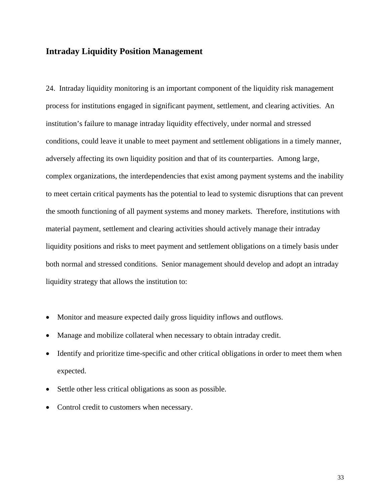# **Intraday Liquidity Position Management**

24. Intraday liquidity monitoring is an important component of the liquidity risk management process for institutions engaged in significant payment, settlement, and clearing activities. An institution's failure to manage intraday liquidity effectively, under normal and stressed conditions, could leave it unable to meet payment and settlement obligations in a timely manner, adversely affecting its own liquidity position and that of its counterparties. Among large, complex organizations, the interdependencies that exist among payment systems and the inability to meet certain critical payments has the potential to lead to systemic disruptions that can prevent the smooth functioning of all payment systems and money markets. Therefore, institutions with material payment, settlement and clearing activities should actively manage their intraday liquidity positions and risks to meet payment and settlement obligations on a timely basis under both normal and stressed conditions. Senior management should develop and adopt an intraday liquidity strategy that allows the institution to:

- Monitor and measure expected daily gross liquidity inflows and outflows.
- Manage and mobilize collateral when necessary to obtain intraday credit.
- Identify and prioritize time-specific and other critical obligations in order to meet them when expected.
- Settle other less critical obligations as soon as possible.
- Control credit to customers when necessary.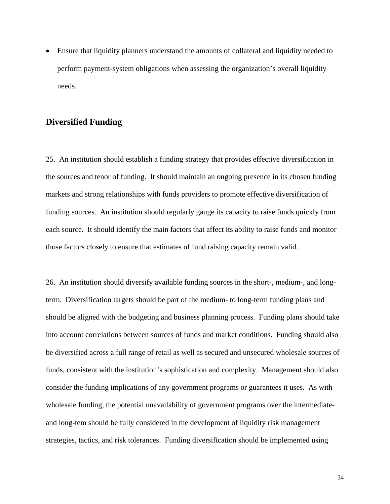• Ensure that liquidity planners understand the amounts of collateral and liquidity needed to perform payment-system obligations when assessing the organization's overall liquidity needs.

## **Diversified Funding**

25. An institution should establish a funding strategy that provides effective diversification in the sources and tenor of funding. It should maintain an ongoing presence in its chosen funding markets and strong relationships with funds providers to promote effective diversification of funding sources. An institution should regularly gauge its capacity to raise funds quickly from each source. It should identify the main factors that affect its ability to raise funds and monitor those factors closely to ensure that estimates of fund raising capacity remain valid.

26. An institution should diversify available funding sources in the short-, medium-, and longterm. Diversification targets should be part of the medium- to long-term funding plans and should be aligned with the budgeting and business planning process. Funding plans should take into account correlations between sources of funds and market conditions. Funding should also be diversified across a full range of retail as well as secured and unsecured wholesale sources of funds, consistent with the institution's sophistication and complexity. Management should also consider the funding implications of any government programs or guarantees it uses. As with wholesale funding, the potential unavailability of government programs over the intermediateand long-tem should be fully considered in the development of liquidity risk management strategies, tactics, and risk tolerances. Funding diversification should be implemented using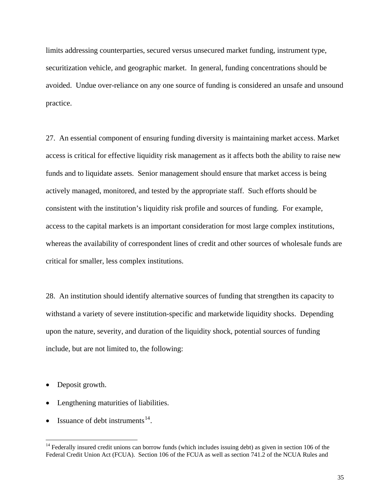limits addressing counterparties, secured versus unsecured market funding, instrument type, securitization vehicle, and geographic market. In general, funding concentrations should be avoided. Undue over-reliance on any one source of funding is considered an unsafe and unsound practice.

27. An essential component of ensuring funding diversity is maintaining market access. Market access is critical for effective liquidity risk management as it affects both the ability to raise new funds and to liquidate assets. Senior management should ensure that market access is being actively managed, monitored, and tested by the appropriate staff. Such efforts should be consistent with the institution's liquidity risk profile and sources of funding. For example, access to the capital markets is an important consideration for most large complex institutions, whereas the availability of correspondent lines of credit and other sources of wholesale funds are critical for smaller, less complex institutions.

28. An institution should identify alternative sources of funding that strengthen its capacity to withstand a variety of severe institution-specific and marketwide liquidity shocks. Depending upon the nature, severity, and duration of the liquidity shock, potential sources of funding include, but are not limited to, the following:

• Deposit growth.

 $\overline{a}$ 

- Lengthening maturities of liabilities.
- Issuance of debt instruments  $14$ .

<span id="page-34-0"></span> $14$  Federally insured credit unions can borrow funds (which includes issuing debt) as given in section 106 of the Federal Credit Union Act (FCUA). Section 106 of the FCUA as well as section 741.2 of the NCUA Rules and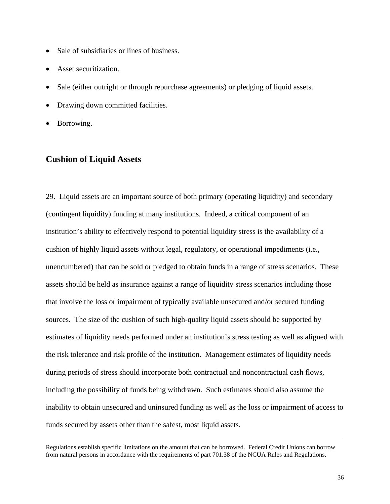- Sale of subsidiaries or lines of business.
- Asset securitization.
- Sale (either outright or through repurchase agreements) or pledging of liquid assets.
- Drawing down committed facilities.
- Borrowing.

# **Cushion of Liquid Assets**

29. Liquid assets are an important source of both primary (operating liquidity) and secondary (contingent liquidity) funding at many institutions. Indeed, a critical component of an institution's ability to effectively respond to potential liquidity stress is the availability of a cushion of highly liquid assets without legal, regulatory, or operational impediments (i.e., unencumbered) that can be sold or pledged to obtain funds in a range of stress scenarios. These assets should be held as insurance against a range of liquidity stress scenarios including those that involve the loss or impairment of typically available unsecured and/or secured funding sources. The size of the cushion of such high-quality liquid assets should be supported by estimates of liquidity needs performed under an institution's stress testing as well as aligned with the risk tolerance and risk profile of the institution. Management estimates of liquidity needs during periods of stress should incorporate both contractual and noncontractual cash flows, including the possibility of funds being withdrawn. Such estimates should also assume the inability to obtain unsecured and uninsured funding as well as the loss or impairment of access to funds secured by assets other than the safest, most liquid assets.

Regulations establish specific limitations on the amount that can be borrowed. Federal Credit Unions can borrow from natural persons in accordance with the requirements of part 701.38 of the NCUA Rules and Regulations.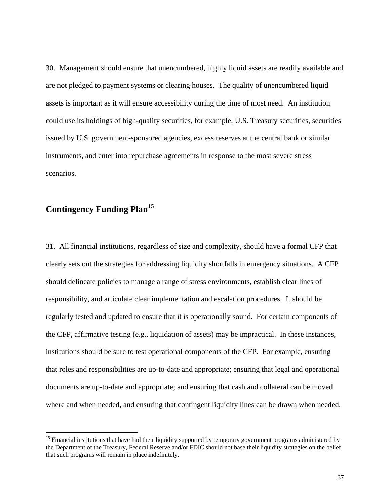30. Management should ensure that unencumbered, highly liquid assets are readily available and are not pledged to payment systems or clearing houses. The quality of unencumbered liquid assets is important as it will ensure accessibility during the time of most need. An institution could use its holdings of high-quality securities, for example, U.S. Treasury securities, securities issued by U.S. government-sponsored agencies, excess reserves at the central bank or similar instruments, and enter into repurchase agreements in response to the most severe stress scenarios.

# **Contingency Funding Plan[15](#page-36-0)**

 $\overline{a}$ 

31. All financial institutions, regardless of size and complexity, should have a formal CFP that clearly sets out the strategies for addressing liquidity shortfalls in emergency situations. A CFP should delineate policies to manage a range of stress environments, establish clear lines of responsibility, and articulate clear implementation and escalation procedures. It should be regularly tested and updated to ensure that it is operationally sound. For certain components of the CFP, affirmative testing (e.g., liquidation of assets) may be impractical. In these instances, institutions should be sure to test operational components of the CFP. For example, ensuring that roles and responsibilities are up-to-date and appropriate; ensuring that legal and operational documents are up-to-date and appropriate; and ensuring that cash and collateral can be moved where and when needed, and ensuring that contingent liquidity lines can be drawn when needed.

<span id="page-36-0"></span> $15$  Financial institutions that have had their liquidity supported by temporary government programs administered by the Department of the Treasury, Federal Reserve and/or FDIC should not base their liquidity strategies on the belief that such programs will remain in place indefinitely.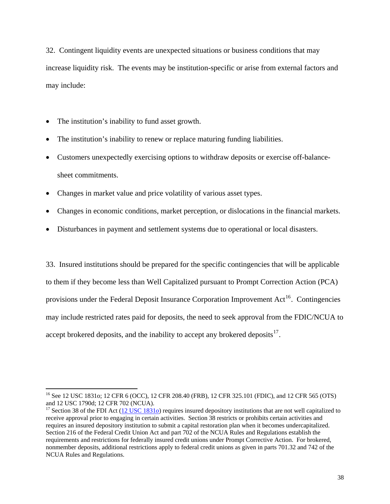32. Contingent liquidity events are unexpected situations or business conditions that may increase liquidity risk. The events may be institution-specific or arise from external factors and may include:

• The institution's inability to fund asset growth.

 $\overline{a}$ 

- The institution's inability to renew or replace maturing funding liabilities.
- Customers unexpectedly exercising options to withdraw deposits or exercise off-balancesheet commitments.
- Changes in market value and price volatility of various asset types.
- Changes in economic conditions, market perception, or dislocations in the financial markets.
- Disturbances in payment and settlement systems due to operational or local disasters.

33. Insured institutions should be prepared for the specific contingencies that will be applicable to them if they become less than Well Capitalized pursuant to Prompt Correction Action (PCA) provisions under the Federal Deposit Insurance Corporation Improvement  $Act^{16}$  $Act^{16}$  $Act^{16}$ . Contingencies may include restricted rates paid for deposits, the need to seek approval from the FDIC/NCUA to accept brokered deposits, and the inability to accept any brokered deposits  $\frac{17}{17}$  $\frac{17}{17}$  $\frac{17}{17}$ .

<span id="page-37-0"></span><sup>&</sup>lt;sup>16</sup> See 12 USC 1831o; 12 CFR 6 (OCC), 12 CFR 208.40 (FRB), 12 CFR 325.101 (FDIC), and 12 CFR 565 (OTS) and 12 USC 1790d; 12 CFR 702 (NCUA).

<span id="page-37-1"></span><sup>&</sup>lt;sup>17</sup> Section 38 of the FDI Act [\(12 USC 1831](http://www.fdic.gov/regulations/laws/rules/1000-4000.html#1000sec.38a)<sub>0</sub>) requires insured depository institutions that are not well capitalized to receive approval prior to engaging in certain activities. Section 38 restricts or prohibits certain activities and requires an insured depository institution to submit a capital restoration plan when it becomes undercapitalized. Section 216 of the Federal Credit Union Act and part 702 of the NCUA Rules and Regulations establish the requirements and restrictions for federally insured credit unions under Prompt Corrective Action. For brokered, nonmember deposits, additional restrictions apply to federal credit unions as given in parts 701.32 and 742 of the NCUA Rules and Regulations.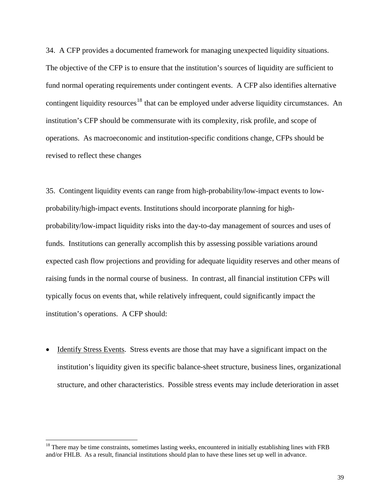34. A CFP provides a documented framework for managing unexpected liquidity situations. The objective of the CFP is to ensure that the institution's sources of liquidity are sufficient to fund normal operating requirements under contingent events. A CFP also identifies alternative contingent liquidity resources<sup>[18](#page-38-0)</sup> that can be employed under adverse liquidity circumstances. An institution's CFP should be commensurate with its complexity, risk profile, and scope of operations. As macroeconomic and institution-specific conditions change, CFPs should be revised to reflect these changes

35. Contingent liquidity events can range from high-probability/low-impact events to lowprobability/high-impact events. Institutions should incorporate planning for highprobability/low-impact liquidity risks into the day-to-day management of sources and uses of funds. Institutions can generally accomplish this by assessing possible variations around expected cash flow projections and providing for adequate liquidity reserves and other means of raising funds in the normal course of business. In contrast, all financial institution CFPs will typically focus on events that, while relatively infrequent, could significantly impact the institution's operations. A CFP should:

• Identify Stress Events. Stress events are those that may have a significant impact on the institution's liquidity given its specific balance-sheet structure, business lines, organizational structure, and other characteristics. Possible stress events may include deterioration in asset

 $\overline{a}$ 

<span id="page-38-0"></span> $18$  There may be time constraints, sometimes lasting weeks, encountered in initially establishing lines with FRB and/or FHLB. As a result, financial institutions should plan to have these lines set up well in advance.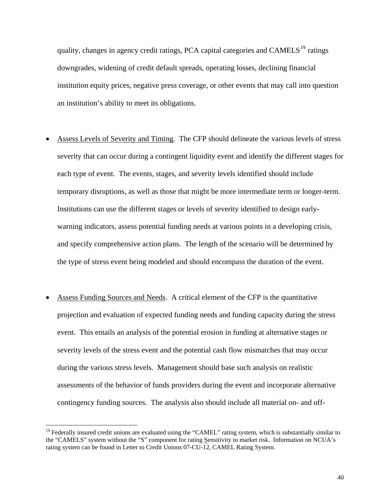quality, changes in agency credit ratings, PCA capital categories and  $CAMELS<sup>19</sup>$  $CAMELS<sup>19</sup>$  $CAMELS<sup>19</sup>$  ratings downgrades, widening of credit default spreads, operating losses, declining financial institution equity prices, negative press coverage, or other events that may call into question an institution's ability to meet its obligations.

- Assess Levels of Severity and Timing. The CFP should delineate the various levels of stress severity that can occur during a contingent liquidity event and identify the different stages for each type of event. The events, stages, and severity levels identified should include temporary disruptions, as well as those that might be more intermediate term or longer-term. Institutions can use the different stages or levels of severity identified to design earlywarning indicators, assess potential funding needs at various points in a developing crisis, and specify comprehensive action plans. The length of the scenario will be determined by the type of stress event being modeled and should encompass the duration of the event.
- Assess Funding Sources and Needs. A critical element of the CFP is the quantitative projection and evaluation of expected funding needs and funding capacity during the stress event. This entails an analysis of the potential erosion in funding at alternative stages or severity levels of the stress event and the potential cash flow mismatches that may occur during the various stress levels. Management should base such analysis on realistic assessments of the behavior of funds providers during the event and incorporate alternative contingency funding sources. The analysis also should include all material on- and off-

 $\overline{a}$ 

<span id="page-39-0"></span> $19$  Federally insured credit unions are evaluated using the "CAMEL" rating system, which is substantially similar to the "CAMELS" system without the "S" component for rating Sensitivity to market risk. Information on NCUA's rating system can be found in Letter to Credit Unions 07-CU-12, CAMEL Rating System.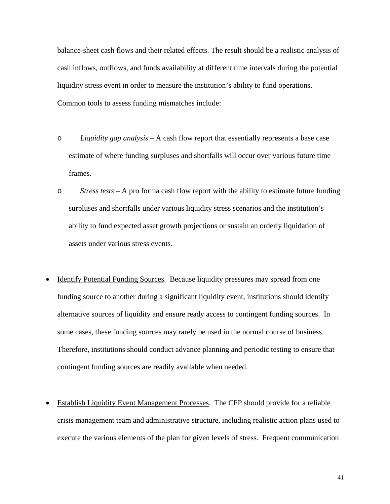balance-sheet cash flows and their related effects. The result should be a realistic analysis of cash inflows, outflows, and funds availability at different time intervals during the potential liquidity stress event in order to measure the institution's ability to fund operations. Common tools to assess funding mismatches include:

- o *Liquidity gap analysis* A cash flow report that essentially represents a base case estimate of where funding surpluses and shortfalls will occur over various future time frames.
- o *Stress tests* A pro forma cash flow report with the ability to estimate future funding surpluses and shortfalls under various liquidity stress scenarios and the institution's ability to fund expected asset growth projections or sustain an orderly liquidation of assets under various stress events.
- Identify Potential Funding Sources. Because liquidity pressures may spread from one funding source to another during a significant liquidity event, institutions should identify alternative sources of liquidity and ensure ready access to contingent funding sources. In some cases, these funding sources may rarely be used in the normal course of business. Therefore, institutions should conduct advance planning and periodic testing to ensure that contingent funding sources are readily available when needed.
- Establish Liquidity Event Management Processes. The CFP should provide for a reliable crisis management team and administrative structure, including realistic action plans used to execute the various elements of the plan for given levels of stress. Frequent communication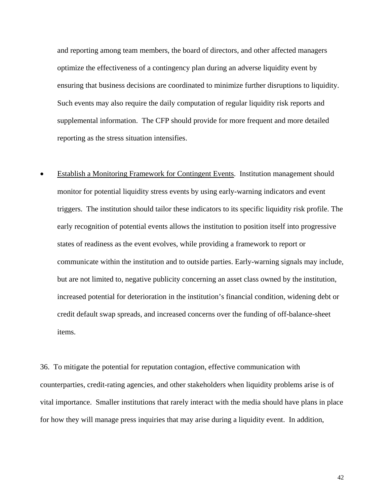and reporting among team members, the board of directors, and other affected managers optimize the effectiveness of a contingency plan during an adverse liquidity event by ensuring that business decisions are coordinated to minimize further disruptions to liquidity. Such events may also require the daily computation of regular liquidity risk reports and supplemental information. The CFP should provide for more frequent and more detailed reporting as the stress situation intensifies.

• Establish a Monitoring Framework for Contingent Events. Institution management should monitor for potential liquidity stress events by using early-warning indicators and event triggers. The institution should tailor these indicators to its specific liquidity risk profile. The early recognition of potential events allows the institution to position itself into progressive states of readiness as the event evolves, while providing a framework to report or communicate within the institution and to outside parties. Early-warning signals may include, but are not limited to, negative publicity concerning an asset class owned by the institution, increased potential for deterioration in the institution's financial condition, widening debt or credit default swap spreads, and increased concerns over the funding of off-balance-sheet items.

36. To mitigate the potential for reputation contagion, effective communication with counterparties, credit-rating agencies, and other stakeholders when liquidity problems arise is of vital importance. Smaller institutions that rarely interact with the media should have plans in place for how they will manage press inquiries that may arise during a liquidity event. In addition,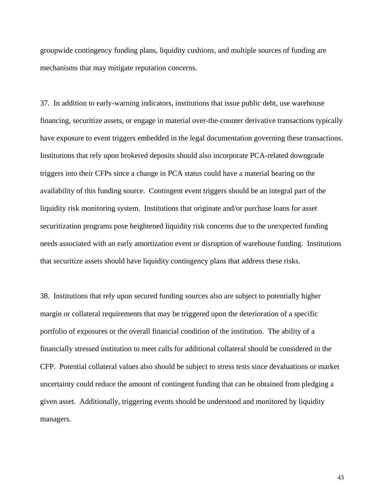groupwide contingency funding plans, liquidity cushions, and multiple sources of funding are mechanisms that may mitigate reputation concerns.

37. In addition to early-warning indicators, institutions that issue public debt, use warehouse financing, securitize assets, or engage in material over-the-counter derivative transactions typically have exposure to event triggers embedded in the legal documentation governing these transactions. Institutions that rely upon brokered deposits should also incorporate PCA-related downgrade triggers into their CFPs since a change in PCA status could have a material bearing on the availability of this funding source. Contingent event triggers should be an integral part of the liquidity risk monitoring system. Institutions that originate and/or purchase loans for asset securitization programs pose heightened liquidity risk concerns due to the unexpected funding needs associated with an early amortization event or disruption of warehouse funding. Institutions that securitize assets should have liquidity contingency plans that address these risks.

38. Institutions that rely upon secured funding sources also are subject to potentially higher margin or collateral requirements that may be triggered upon the deterioration of a specific portfolio of exposures or the overall financial condition of the institution. The ability of a financially stressed institution to meet calls for additional collateral should be considered in the CFP. Potential collateral values also should be subject to stress tests since devaluations or market uncertainty could reduce the amount of contingent funding that can be obtained from pledging a given asset. Additionally, triggering events should be understood and monitored by liquidity managers.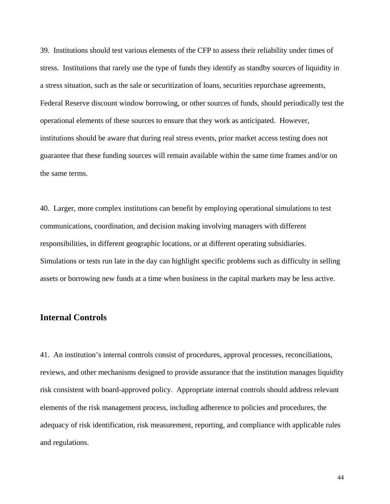39. Institutions should test various elements of the CFP to assess their reliability under times of stress. Institutions that rarely use the type of funds they identify as standby sources of liquidity in a stress situation, such as the sale or securitization of loans, securities repurchase agreements, Federal Reserve discount window borrowing, or other sources of funds, should periodically test the operational elements of these sources to ensure that they work as anticipated. However, institutions should be aware that during real stress events, prior market access testing does not guarantee that these funding sources will remain available within the same time frames and/or on the same terms.

40. Larger, more complex institutions can benefit by employing operational simulations to test communications, coordination, and decision making involving managers with different responsibilities, in different geographic locations, or at different operating subsidiaries. Simulations or tests run late in the day can highlight specific problems such as difficulty in selling assets or borrowing new funds at a time when business in the capital markets may be less active.

## **Internal Controls**

41. An institution's internal controls consist of procedures, approval processes, reconciliations, reviews, and other mechanisms designed to provide assurance that the institution manages liquidity risk consistent with board-approved policy. Appropriate internal controls should address relevant elements of the risk management process, including adherence to policies and procedures, the adequacy of risk identification, risk measurement, reporting, and compliance with applicable rules and regulations.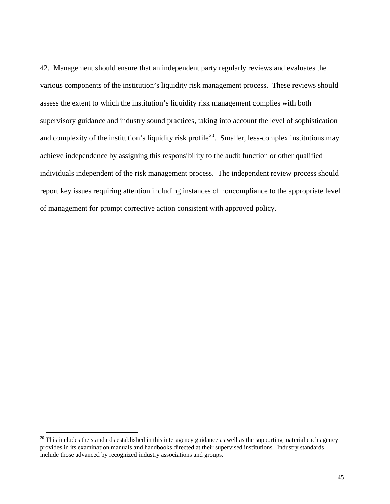42. Management should ensure that an independent party regularly reviews and evaluates the various components of the institution's liquidity risk management process. These reviews should assess the extent to which the institution's liquidity risk management complies with both supervisory guidance and industry sound practices, taking into account the level of sophistication and complexity of the institution's liquidity risk profile<sup>[20](#page-44-0)</sup>. Smaller, less-complex institutions may achieve independence by assigning this responsibility to the audit function or other qualified individuals independent of the risk management process. The independent review process should report key issues requiring attention including instances of noncompliance to the appropriate level of management for prompt corrective action consistent with approved policy.

<span id="page-44-0"></span> $20$  This includes the standards established in this interagency guidance as well as the supporting material each agency provides in its examination manuals and handbooks directed at their supervised institutions. Industry standards include those advanced by recognized industry associations and groups.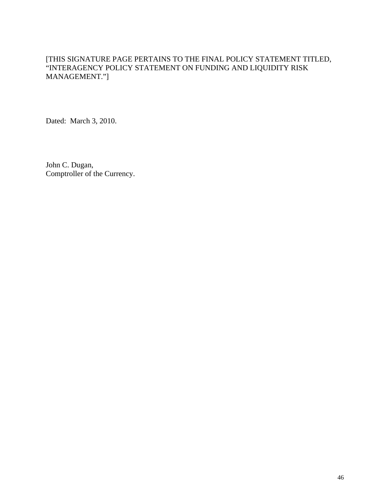Dated: March 3, 2010.

John C. Dugan, Comptroller of the Currency.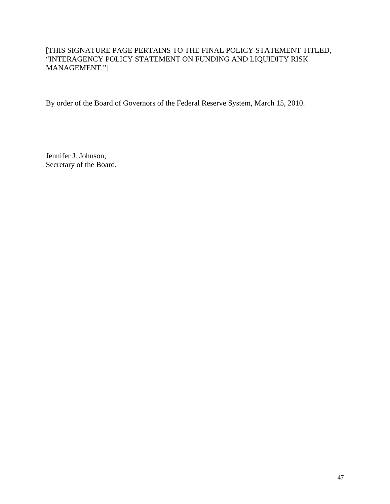By order of the Board of Governors of the Federal Reserve System, March 15, 2010.

Jennifer J. Johnson, Secretary of the Board.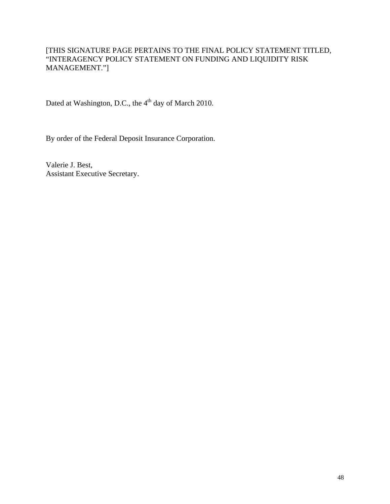Dated at Washington, D.C., the 4<sup>th</sup> day of March 2010.

By order of the Federal Deposit Insurance Corporation.

Valerie J. Best, Assistant Executive Secretary.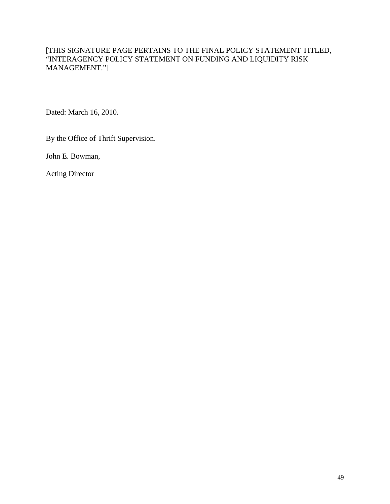Dated: March 16, 2010.

By the Office of Thrift Supervision.

John E. Bowman,

Acting Director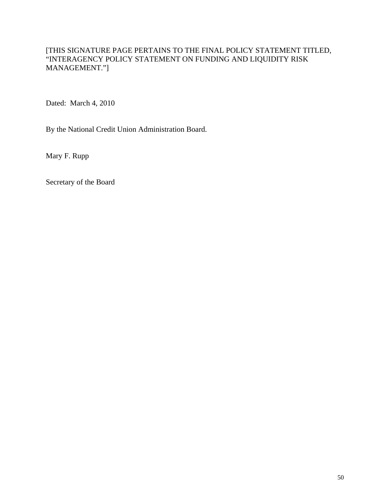Dated: March 4, 2010

By the National Credit Union Administration Board.

Mary F. Rupp

Secretary of the Board